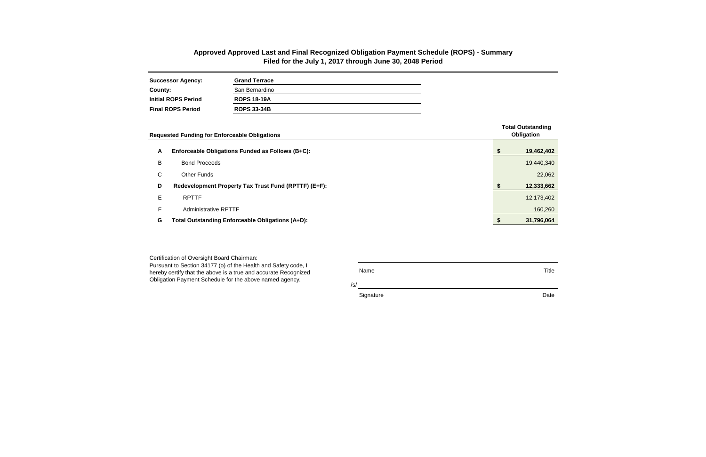| <b>Successor Agency:</b>   | <b>Grand Terrace</b> |
|----------------------------|----------------------|
| County:                    | San Bernardino       |
| <b>Initial ROPS Period</b> | <b>ROPS 18-19A</b>   |
| <b>Final ROPS Period</b>   | <b>ROPS 33-34B</b>   |

/s/

Signature Date **Date** 

Certification of Oversight Board Chairman: Pursuant to Section 34177 (o) of the Health and Safety code, I hereby certify that the above is a true and accurate Recognized Obligation Payment Schedule for the above named agency.

Name Title

|    | <b>Requested Funding for Enforceable Obligations</b> |  | <b>Total Outstanding</b><br>Obligation |
|----|------------------------------------------------------|--|----------------------------------------|
| A  | Enforceable Obligations Funded as Follows (B+C):     |  | 19,462,402                             |
| В  | <b>Bond Proceeds</b>                                 |  | 19,440,340                             |
| С  | <b>Other Funds</b>                                   |  | 22,062                                 |
| D  | Redevelopment Property Tax Trust Fund (RPTTF) (E+F): |  | 12,333,662                             |
| Е  | <b>RPTTF</b>                                         |  | 12,173,402                             |
| F. | <b>Administrative RPTTF</b>                          |  | 160,260                                |
| G  | Total Outstanding Enforceable Obligations (A+D):     |  | 31,796,064                             |

## **Approved Approved Last and Final Recognized Obligation Payment Schedule (ROPS) - Summary Filed for the July 1, 2017 through June 30, 2048 Period**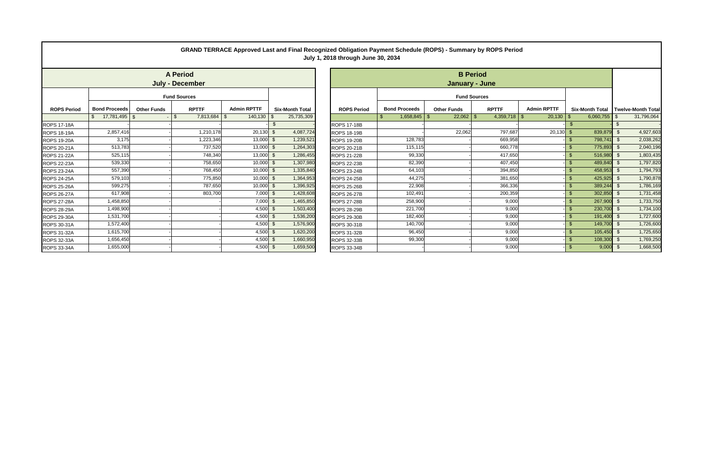|                    |                      |                    |                                           |                    |                        | GRAND TERRACE Approved Last and Final Recognized Obligation Payment Schedule (ROPS) - Summary by ROPS Period<br>July 1, 2018 through June 30, 2034 |                      |                     |                 |                    |                   |                                    |
|--------------------|----------------------|--------------------|-------------------------------------------|--------------------|------------------------|----------------------------------------------------------------------------------------------------------------------------------------------------|----------------------|---------------------|-----------------|--------------------|-------------------|------------------------------------|
|                    |                      |                    | <b>A Period</b><br><b>July - December</b> |                    |                        |                                                                                                                                                    |                      | January - June      | <b>B</b> Period |                    |                   |                                    |
|                    |                      |                    | <b>Fund Sources</b>                       |                    |                        |                                                                                                                                                    |                      | <b>Fund Sources</b> |                 |                    |                   |                                    |
| <b>ROPS Period</b> | <b>Bond Proceeds</b> | <b>Other Funds</b> | <b>RPTTF</b>                              | <b>Admin RPTTF</b> | <b>Six-Month Total</b> | <b>ROPS Period</b>                                                                                                                                 | <b>Bond Proceeds</b> | <b>Other Funds</b>  | <b>RPTTF</b>    | <b>Admin RPTTF</b> |                   | Six-Month Total Twelve-Month Total |
|                    |                      |                    | $7,813,684$ \ \ \$<br>\$                  | 140,130            | 25,735,309             |                                                                                                                                                    | $1,658,845$ \$       |                     | $4,359,718$ \\$ | 20,130             | $6,060,755$ \$    | 31,796,064                         |
| <b>ROPS 17-18A</b> |                      |                    |                                           |                    |                        | <b>ROPS 17-18B</b>                                                                                                                                 |                      |                     |                 |                    |                   |                                    |
| <b>ROPS 18-19A</b> | 2,857,416            |                    | 1,210,178                                 | 20,130             | 4,087,724<br>- \$      | <b>ROPS 18-19B</b>                                                                                                                                 |                      | 22,062              | 797,687         | 20,130             | 839,879           | 4,927,603                          |
| <b>ROPS 19-20A</b> | 3,175                |                    | 1,223,346                                 | 13,000             | 1,239,521              | <b>ROPS 19-20B</b>                                                                                                                                 | 128,783              |                     | 669,958         |                    | 798,741 \$        | 2,038,262                          |
| ROPS 20-21A        | 513,783              |                    | 737,520                                   | 13,000             | 1,264,303              | <b>ROPS 20-21B</b>                                                                                                                                 | 115,115              |                     | 660,778         |                    | 775,893 \$        | 2,040,196                          |
| <b>ROPS 21-22A</b> | 525,115              |                    | 748,340                                   | 13,000             | 1,286,455              | <b>ROPS 21-22B</b>                                                                                                                                 | 99,330               |                     | 417,650         |                    | 516,980           | 1,803,435                          |
| ROPS 22-23A        | 539,330              |                    | 758,650                                   | 10,000             | 1,307,980              | <b>ROPS 22-23B</b>                                                                                                                                 | 82,390               |                     | 407,450         |                    | 489,840 \$        | 1,797,820                          |
| ROPS 23-24A        | 557,390              |                    | 768,450                                   | 10,000             | 1,335,840<br>- \$      | <b>ROPS 23-24B</b>                                                                                                                                 | 64,103               |                     | 394,850         |                    | 458,953 \$<br>\$. | 1,794,793                          |
| <b>ROPS 24-25A</b> | 579,103              |                    | 775,850                                   | 10,000             | 1,364,953              | <b>ROPS 24-25B</b>                                                                                                                                 | 44,275               |                     | 381,650         |                    | $425,925$ \$      | 1,790,878                          |
| <b>ROPS 25-26A</b> | 599,275              |                    | 787,650                                   | 10,000             | 1,396,925              | <b>ROPS 25-26B</b>                                                                                                                                 | 22,908               |                     | 366,336         |                    | 389,244 \$        | 1,786,169                          |
| <b>ROPS 26-27A</b> | 617,908              |                    | 803,700                                   | 7,000              | 1,428,608              | <b>ROPS 26-27B</b>                                                                                                                                 | 102,491              |                     | 200,359         |                    | 302,850 \$<br>\$. | 1,731,458                          |
| <b>ROPS 27-28A</b> | 1,458,850            |                    |                                           | 7,000              | 1,465,850              | <b>ROPS 27-28B</b>                                                                                                                                 | 258,900              |                     | 9,000           |                    | 267,900<br>\$.    | 1,733,750                          |
| ROPS 28-29A        | 1,498,900            |                    |                                           | 4,500              | 1,503,400              | <b>ROPS 28-29B</b>                                                                                                                                 | 221,700              |                     | 9,000           |                    | 230,700           | 1,734,100                          |
| ROPS 29-30A        | 1,531,700            |                    |                                           | 4,500              | 1,536,200              | <b>ROPS 29-30B</b>                                                                                                                                 | 182,400              |                     | 9,000           |                    | 191,400 \$<br>ß.  | 1,727,600                          |
| ROPS 30-31A        | 1,572,400            |                    |                                           | 4,500              | 1,576,900<br>- \$      | ROPS 30-31B                                                                                                                                        | 140,700              |                     | 9,000           |                    | 149,700 \$<br>\$. | 1,726,600                          |
| ROPS 31-32A        | 1,615,700            |                    |                                           | 4,500              | 1,620,200              | <b>ROPS 31-32B</b>                                                                                                                                 | 96,450               |                     | 9,000           |                    | 105,450           | 1,725,650                          |
| ROPS 32-33A        | 1,656,450            |                    |                                           | 4,500              | 1,660,950              | ROPS 32-33B                                                                                                                                        | 99,300               |                     | 9,000           |                    | 108,300           | 1,769,250                          |
| ROPS 33-34A        | 1,655,000            |                    |                                           | 4,500              | 1,659,500              | <b>ROPS 33-34B</b>                                                                                                                                 |                      |                     | 9,000           |                    | 9,000             | 1,668,500                          |

| <b>Bond Proceeds</b>         | <b>Other Funds</b> | <b>RPTTF</b>                                                                                                                                                                               | <b>Admin RPTTF</b>                                               | <b>Six-Month Total</b>                                                                                                                                                                                                                                      |
|------------------------------|--------------------|--------------------------------------------------------------------------------------------------------------------------------------------------------------------------------------------|------------------------------------------------------------------|-------------------------------------------------------------------------------------------------------------------------------------------------------------------------------------------------------------------------------------------------------------|
| $\mathfrak{L}$<br>17,781,495 | $\mathfrak{S}$     | $\mathfrak{L}$<br>7,813,684                                                                                                                                                                | $\mathfrak{F}$<br>140,130                                        | \$<br>25,735,309                                                                                                                                                                                                                                            |
|                              |                    |                                                                                                                                                                                            |                                                                  | \$                                                                                                                                                                                                                                                          |
|                              |                    |                                                                                                                                                                                            |                                                                  | $\mathcal{L}$<br>4,087,724                                                                                                                                                                                                                                  |
|                              |                    |                                                                                                                                                                                            |                                                                  | $\mathfrak{L}$<br>1,239,521                                                                                                                                                                                                                                 |
|                              |                    |                                                                                                                                                                                            |                                                                  | $\mathcal{L}$<br>1,264,303                                                                                                                                                                                                                                  |
|                              |                    |                                                                                                                                                                                            |                                                                  | $\sqrt[6]{3}$<br>1,286,455                                                                                                                                                                                                                                  |
|                              |                    |                                                                                                                                                                                            |                                                                  | $\overline{\mathcal{S}}$<br>1,307,980                                                                                                                                                                                                                       |
|                              |                    |                                                                                                                                                                                            |                                                                  | $\mathbf{\hat{s}}$<br>1,335,840                                                                                                                                                                                                                             |
|                              |                    |                                                                                                                                                                                            |                                                                  | $\mathfrak{L}$<br>1,364,953                                                                                                                                                                                                                                 |
|                              |                    |                                                                                                                                                                                            |                                                                  | $\mathcal{L}$<br>1,396,925                                                                                                                                                                                                                                  |
|                              |                    |                                                                                                                                                                                            |                                                                  | $\mathfrak{L}$<br>1,428,608                                                                                                                                                                                                                                 |
|                              |                    |                                                                                                                                                                                            |                                                                  | $\mathfrak{L}$<br>1,465,850                                                                                                                                                                                                                                 |
|                              |                    |                                                                                                                                                                                            |                                                                  | $\mathfrak{F}$<br>1,503,400                                                                                                                                                                                                                                 |
|                              |                    |                                                                                                                                                                                            |                                                                  | $\mathfrak{S}$<br>1,536,200                                                                                                                                                                                                                                 |
|                              |                    |                                                                                                                                                                                            |                                                                  | $\mathfrak{L}$<br>1,576,900                                                                                                                                                                                                                                 |
|                              |                    |                                                                                                                                                                                            |                                                                  | $\sqrt[6]{3}$<br>1,620,200                                                                                                                                                                                                                                  |
|                              |                    |                                                                                                                                                                                            |                                                                  | $\sqrt[6]{3}$<br>1,660,950                                                                                                                                                                                                                                  |
|                              |                    |                                                                                                                                                                                            |                                                                  | $\mathfrak{S}$<br>1,659,500                                                                                                                                                                                                                                 |
|                              |                    | 2,857,416<br>3,175<br>513,783<br>525,115<br>539,330<br>557,390<br>579,103<br>599,275<br>617,908<br>1,458,850<br>1,498,900<br>1,531,700<br>1,572,400<br>1,615,700<br>1,656,450<br>1,655,000 | <b>A Period</b><br><b>July - December</b><br><b>Fund Sources</b> | 1,210,178<br>20,130<br>1,223,346<br>13,000<br>13,000<br>737,520<br>13,000<br>748,340<br>758,650<br>10,000<br>768,450<br>10,000<br>775,850<br>10,000<br>787,650<br>10,000<br>803,700<br>7,000<br>7,000<br>4,500<br>4,500<br>4,500<br>4,500<br>4,500<br>4,500 |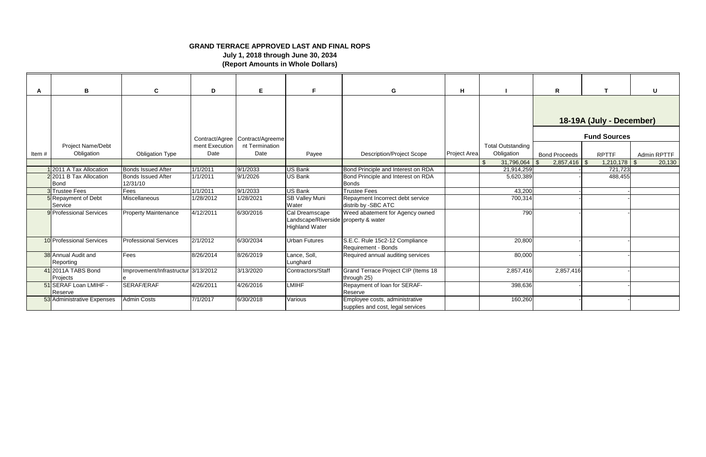| A     | В                                | $\mathbf{C}$                          | D                 | E.                                                | F.                                                                              | G                                                                   | H.           |                          | $\mathsf{R}$         |                          | U           |
|-------|----------------------------------|---------------------------------------|-------------------|---------------------------------------------------|---------------------------------------------------------------------------------|---------------------------------------------------------------------|--------------|--------------------------|----------------------|--------------------------|-------------|
|       |                                  |                                       |                   |                                                   |                                                                                 |                                                                     |              |                          |                      | 18-19A (July - December) |             |
|       | <b>Project Name/Debt</b>         |                                       | ment Execution    | Contract/Agree Contract/Agreeme<br>nt Termination |                                                                                 |                                                                     |              | <b>Total Outstanding</b> |                      | <b>Fund Sources</b>      |             |
| Item# | Obligation                       | <b>Obligation Type</b>                | Date              | Date                                              | Payee                                                                           | <b>Description/Project Scope</b>                                    | Project Area | Obligation               | <b>Bond Proceeds</b> | <b>RPTTF</b>             | Admin RPTTF |
|       |                                  |                                       |                   |                                                   |                                                                                 |                                                                     |              | 31,796,064               | $2,857,416$ \$       | 1,210,178                | 20,130      |
|       | 2011 A Tax Allocation            | <b>Bonds Issued After</b>             | 1/1/2011          | 9/1/2033                                          | <b>US Bank</b>                                                                  | Bond Principle and Interest on RDA                                  |              | 21,914,259               |                      | 721,723                  |             |
|       | 22011 B Tax Allocation<br>Bond   | <b>Bonds Issued After</b><br>12/31/10 | 1/1/2011          | 9/1/2026                                          | <b>US Bank</b>                                                                  | Bond Principle and Interest on RDA<br><b>Bonds</b>                  |              | 5,620,389                |                      | 488,455                  |             |
|       | 3 Trustee Fees                   | Fees                                  | 1/1/2011          | 9/1/2033                                          | <b>US Bank</b>                                                                  | <b>Trustee Fees</b>                                                 |              | 43,200                   |                      |                          |             |
|       | 5 Repayment of Debt<br>Service   | Miscellaneous                         | 1/28/2012         | 1/28/2021                                         | <b>SB Valley Muni</b><br>Water                                                  | Repayment Incorrect debt service<br>distrib by -SBC ATC             |              | 700,314                  |                      |                          |             |
|       | 9 Professional Services          | <b>Property Maintenance</b>           | 4/12/2011         | 6/30/2016                                         | Cal Dreamscape<br>Landscape/Riverside property & water<br><b>Highland Water</b> | Weed abatement for Agency owned                                     |              | 790                      |                      |                          |             |
|       | 10 Professional Services         | <b>Professional Services</b>          | $\sqrt{2}/1/2012$ | 6/30/2034                                         | <b>Urban Futures</b>                                                            | S.E.C. Rule 15c2-12 Compliance<br>Requirement - Bonds               |              | 20,800                   |                      |                          |             |
|       | 38 Annual Audit and<br>Reporting | Fees                                  | 8/26/2014         | 8/26/2019                                         | Lance, Soll,<br>Lunghard                                                        | Required annual auditing services                                   |              | 80,000                   |                      |                          |             |
|       | 41 2011A TABS Bond<br>Projects   | Improvement/Infrastructur 3/13/2012   |                   | 3/13/2020                                         | Contractors/Staff                                                               | Grand Terrace Project CIP (Items 18<br>through 25)                  |              | 2,857,416                | 2,857,416            |                          |             |
|       | 51 SERAF Loan LMIHF -<br>Reserve | SERAF/ERAF                            | 4/26/2011         | 4/26/2016                                         | <b>LMIHF</b>                                                                    | Repayment of loan for SERAF-<br>Reserve                             |              | 398,636                  |                      |                          |             |
|       | 53 Administrative Expenses       | <b>Admin Costs</b>                    | 7/1/2017          | 6/30/2018                                         | Various                                                                         | Employee costs, administrative<br>supplies and cost, legal services |              | 160,260                  |                      |                          |             |

## **GRAND TERRACE APPROVED LAST AND FINAL ROPS**

**July 1, 2018 through June 30, 2034 (Report Amounts in Whole Dollars)**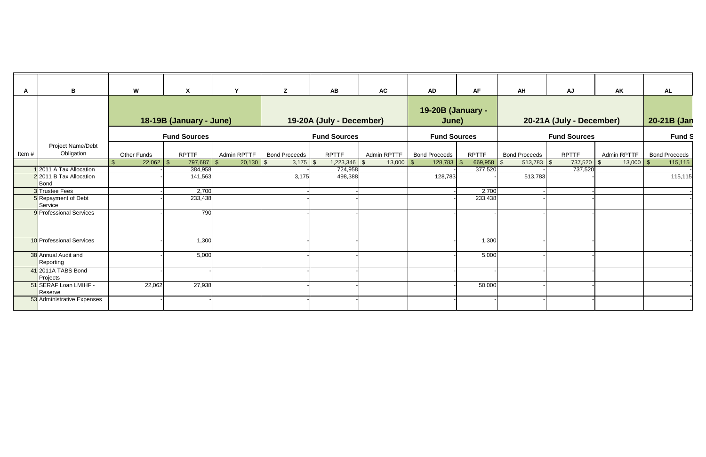| A     | B                                | W           | $\boldsymbol{\mathsf{X}}$ | $\mathbf v$                  | Z                    | <b>AB</b>                | <b>AC</b>   | <b>AD</b>                  | <b>AF</b>       | AH                   | <b>AJ</b>                | <b>AK</b>     | AL                   |
|-------|----------------------------------|-------------|---------------------------|------------------------------|----------------------|--------------------------|-------------|----------------------------|-----------------|----------------------|--------------------------|---------------|----------------------|
|       |                                  |             | 18-19B (January - June)   |                              |                      | 19-20A (July - December) |             | 19-20B (January -<br>June) |                 |                      | 20-21A (July - December) |               | 20-21B (Jan          |
|       |                                  |             | <b>Fund Sources</b>       |                              |                      | <b>Fund Sources</b>      |             | <b>Fund Sources</b>        |                 |                      | <b>Fund Sources</b>      |               | Fund S               |
| Item# | Project Name/Debt<br>Obligation  | Other Funds | <b>RPTTF</b>              | Admin RPTTF                  | <b>Bond Proceeds</b> | <b>RPTTF</b>             | Admin RPTTF | <b>Bond Proceeds</b>       | <b>RPTTF</b>    | <b>Bond Proceeds</b> | <b>RPTTF</b>             | Admin RPTTF   | <b>Bond Proceeds</b> |
|       |                                  |             | 797,687                   | $20,130$ \$<br>$\mathcal{F}$ | $3,175$ \$           | $1,223,346$ \$           | 13,000      | 128,783                    | 669,958<br>- SS | $513,783$ \$         | $737,520$ \$             | $13,000$ \ \$ | 115,115              |
|       | 12011 A Tax Allocation           |             | 384,958                   |                              |                      | 724,958                  |             |                            | 377,520         |                      | 737,520                  |               |                      |
|       | 2 2011 B Tax Allocation<br>Bond  |             | 141,563                   |                              | 3,175                | 498,388                  |             | 128,783                    |                 | 513,783              |                          |               | 115,115              |
|       | 3 Trustee Fees                   |             | 2,700                     |                              |                      |                          |             |                            | 2,700           |                      |                          |               |                      |
|       | 5 Repayment of Debt<br>Service   |             | 233,438                   |                              |                      |                          |             |                            | 233,438         |                      |                          |               |                      |
|       | 9 Professional Services          |             | 790                       |                              |                      |                          |             |                            |                 |                      |                          |               |                      |
|       | 10 Professional Services         |             | 1,300                     |                              |                      |                          |             |                            | 1,300           |                      |                          |               |                      |
|       | 38 Annual Audit and<br>Reporting |             | 5,000                     |                              |                      |                          |             |                            | 5,000           |                      |                          |               |                      |
|       | 41 2011A TABS Bond<br>Projects   |             |                           |                              |                      |                          |             |                            |                 |                      |                          |               |                      |
|       | 51 SERAF Loan LMIHF -<br>Reserve | 22,062      | 27,938                    |                              |                      |                          |             |                            | 50,000          |                      |                          |               |                      |
|       | 53 Administrative Expenses       |             |                           |                              |                      |                          |             |                            |                 |                      |                          |               |                      |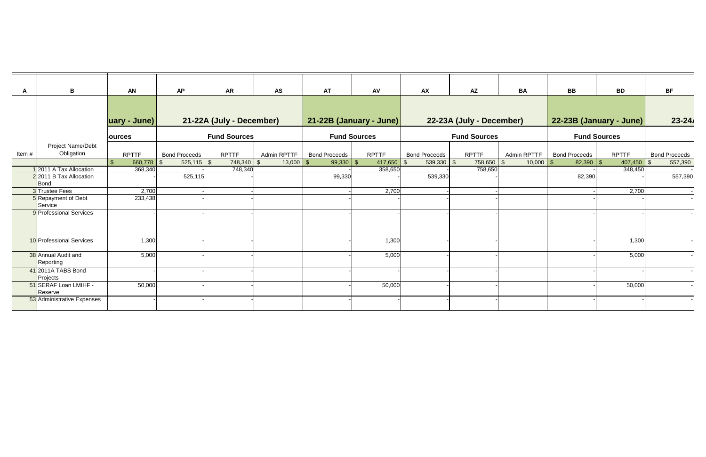| A     | B                                | <b>AN</b>      | <b>AP</b>            | <b>AR</b>                | <b>AS</b>      | <b>AT</b>            | AV                      | <b>AX</b>            | <b>AZ</b>                | <b>BA</b>   | <b>BB</b>            | <b>BD</b>               | <b>BF</b>            |
|-------|----------------------------------|----------------|----------------------|--------------------------|----------------|----------------------|-------------------------|----------------------|--------------------------|-------------|----------------------|-------------------------|----------------------|
|       |                                  | uary - June)   |                      | 21-22A (July - December) |                |                      | 21-22B (January - June) |                      | 22-23A (July - December) |             |                      | 22-23B (January - June) | $23 - 24$            |
|       |                                  | <b>Sources</b> |                      | <b>Fund Sources</b>      |                |                      | <b>Fund Sources</b>     |                      | <b>Fund Sources</b>      |             |                      | <b>Fund Sources</b>     |                      |
| Item# | Project Name/Debt<br>Obligation  | <b>RPTTF</b>   | <b>Bond Proceeds</b> | <b>RPTTF</b>             | Admin RPTTF    | <b>Bond Proceeds</b> | <b>RPTTF</b>            | <b>Bond Proceeds</b> | <b>RPTTF</b>             | Admin RPTTF | <b>Bond Proceeds</b> | <b>RPTTF</b>            | <b>Bond Proceeds</b> |
|       |                                  | 660,778        | $525,115$ \$<br>-\$  | 748,340                  | 13,000<br>- \$ | $99,330$ \$          | 417,650                 | $539,330$ \$         | 758,650                  | $10,000$ \$ |                      | 407,450                 | 557,390              |
|       | 12011 A Tax Allocation           | 368,340        |                      | 748,340                  |                |                      | 358,650                 |                      | 758,650                  |             |                      | 348,450                 |                      |
|       | 22011 B Tax Allocation<br>Bond   |                | 525,115              |                          |                | 99,330               |                         | 539,330              |                          |             | 82,390               |                         | 557,390              |
|       | 3 Trustee Fees                   | 2,700          |                      |                          |                |                      | 2,700                   |                      |                          |             |                      | 2,700                   |                      |
|       | 5 Repayment of Debt<br>Service   | 233,438        |                      |                          |                |                      |                         |                      |                          |             |                      |                         |                      |
|       | 9 Professional Services          |                |                      |                          |                |                      |                         |                      |                          |             |                      |                         |                      |
|       | 10 Professional Services         | 1,300          |                      |                          |                |                      | 1,300                   |                      |                          |             |                      | 1,300                   |                      |
|       | 38 Annual Audit and<br>Reporting | 5,000          |                      |                          |                |                      | 5,000                   |                      |                          |             |                      | 5,000                   |                      |
|       | 41 2011A TABS Bond<br>Projects   |                |                      |                          |                |                      |                         |                      |                          |             |                      |                         |                      |
|       | 51 SERAF Loan LMIHF -<br>Reserve | 50,000         |                      |                          |                |                      | 50,000                  |                      |                          |             |                      | 50,000                  |                      |
|       | 53 Administrative Expenses       |                |                      |                          |                |                      |                         |                      |                          |             |                      |                         |                      |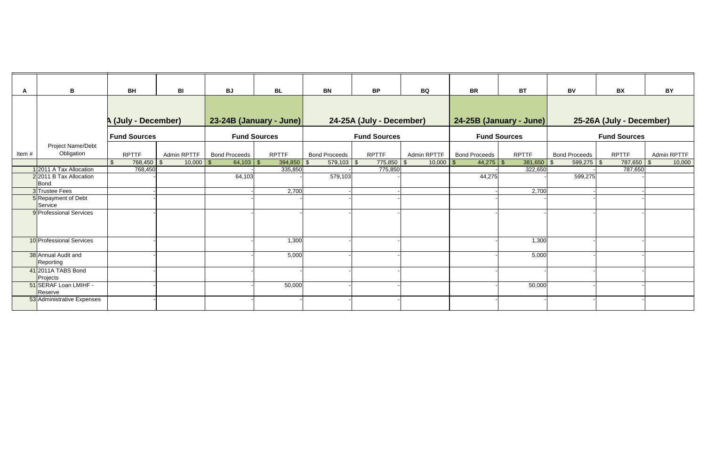| A     | $\mathbf B$                      | <b>BH</b>                  | BI          | <b>BJ</b>            | <b>BL</b>               | <b>BN</b>            | <b>BP</b>                | <b>BQ</b>           | <b>BR</b>            | <b>BT</b>                      | <b>BV</b>            | <b>BX</b>                | <b>BY</b>   |
|-------|----------------------------------|----------------------------|-------------|----------------------|-------------------------|----------------------|--------------------------|---------------------|----------------------|--------------------------------|----------------------|--------------------------|-------------|
|       |                                  | <b>A (July - December)</b> |             |                      | 23-24B (January - June) |                      | 24-25A (July - December) |                     |                      | <b>24-25B (January - June)</b> |                      | 25-26A (July - December) |             |
|       |                                  | <b>Fund Sources</b>        |             |                      | <b>Fund Sources</b>     |                      | <b>Fund Sources</b>      |                     |                      | <b>Fund Sources</b>            |                      | <b>Fund Sources</b>      |             |
| Item# | Project Name/Debt<br>Obligation  | <b>RPTTF</b>               | Admin RPTTF | <b>Bond Proceeds</b> | <b>RPTTF</b>            | <b>Bond Proceeds</b> | <b>RPTTF</b>             | Admin RPTTF         | <b>Bond Proceeds</b> | <b>RPTTF</b>                   | <b>Bond Proceeds</b> | <b>RPTTF</b>             | Admin RPTTF |
|       | 1 2011 A Tax Allocation          | 768,450<br>768,450         | 10,000      |                      | 394,850<br>335,850      | $579,103$ \$         | 775,850<br>775,850       | $10,000$ \$<br>- \$ |                      | 381,650<br>322,650             | $599,275$ \$<br>l S  | 787,650<br>787,650       | 10,000      |
|       | 2 2011 B Tax Allocation<br>Bond  |                            |             | 64,103               |                         | 579,103              |                          |                     | 44,275               |                                | 599,275              |                          |             |
|       | 3 Trustee Fees                   |                            |             |                      | 2,700                   |                      |                          |                     |                      | 2,700                          |                      |                          |             |
|       | 5 Repayment of Debt<br>Service   |                            |             |                      |                         |                      |                          |                     |                      |                                |                      |                          |             |
|       | 9 Professional Services          |                            |             |                      |                         |                      |                          |                     |                      |                                |                      |                          |             |
|       | 10 Professional Services         |                            |             |                      | 1,300                   |                      |                          |                     |                      | 1,300                          |                      |                          |             |
|       | 38 Annual Audit and<br>Reporting |                            |             |                      | 5,000                   |                      |                          |                     |                      | 5,000                          |                      |                          |             |
|       | 41 2011A TABS Bond<br>Projects   |                            |             |                      |                         |                      |                          |                     |                      |                                |                      |                          |             |
|       | 51 SERAF Loan LMIHF -<br>Reserve |                            |             |                      | 50,000                  |                      |                          |                     |                      | 50,000                         |                      |                          |             |
|       | 53 Administrative Expenses       |                            |             |                      |                         |                      |                          |                     |                      |                                |                      |                          |             |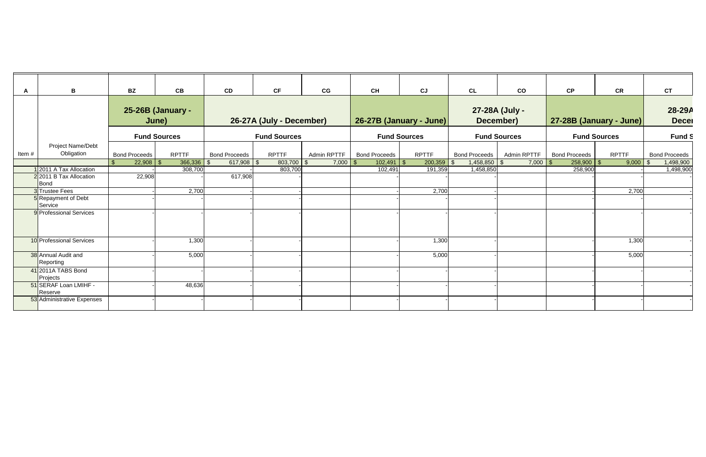| A     | B                                                         | <b>BZ</b>            | CB                         | CD                   | <b>CF</b>                | CG                | <b>CH</b>            | CJ                      | CL             | $\mathsf{co}\,$             | CP                    | <b>CR</b>               | <b>CT</b>            |
|-------|-----------------------------------------------------------|----------------------|----------------------------|----------------------|--------------------------|-------------------|----------------------|-------------------------|----------------|-----------------------------|-----------------------|-------------------------|----------------------|
|       |                                                           |                      | 25-26B (January -<br>June) |                      | 26-27A (July - December) |                   |                      | 26-27B (January - June) |                | 27-28A (July -<br>December) |                       | 27-28B (January - June) |                      |
|       |                                                           |                      | <b>Fund Sources</b>        |                      | <b>Fund Sources</b>      |                   |                      | <b>Fund Sources</b>     |                | <b>Fund Sources</b>         |                       | <b>Fund Sources</b>     | Fund S               |
| Item# | Project Name/Debt<br>Obligation                           | <b>Bond Proceeds</b> | <b>RPTTF</b>               | <b>Bond Proceeds</b> | <b>RPTTF</b>             | Admin RPTTF       | <b>Bond Proceeds</b> | <b>RPTTF</b>            | Bond Proceeds  | Admin RPTTF                 | <b>Bond Proceeds</b>  | <b>RPTTF</b>            | <b>Bond Proceeds</b> |
|       |                                                           |                      | 366,336                    | $617,908$ \$<br>l S  | 803,700                  | $7,000$ \$<br>-\$ | $102,491$ \ \$       | $200,359$ \$            | $1,458,850$ \$ | 7,000                       | $258,900$ \ \$<br>- S | 9,000                   | 1,498,900<br>- SS    |
|       | 12011 A Tax Allocation<br>2 2011 B Tax Allocation<br>Bond | 22,908               | 308,700                    | 617,908              | 803,700                  |                   | 102,491              | 191,359                 | 1,458,850      |                             | 258,900               |                         | 1,498,900            |
|       | 3 Trustee Fees                                            |                      | 2,700                      |                      |                          |                   |                      | 2,700                   |                |                             |                       | 2,700                   |                      |
|       | 5 Repayment of Debt<br>Service                            |                      |                            |                      |                          |                   |                      |                         |                |                             |                       |                         |                      |
|       | 9 Professional Services                                   |                      |                            |                      |                          |                   |                      |                         |                |                             |                       |                         |                      |
|       | 10 Professional Services                                  |                      | 1,300                      |                      |                          |                   |                      | 1,300                   |                |                             |                       | 1,300                   |                      |
|       | 38 Annual Audit and<br>Reporting                          |                      | 5,000                      |                      |                          |                   |                      | 5,000                   |                |                             |                       | 5,000                   |                      |
|       | 41 2011A TABS Bond<br>Projects                            |                      |                            |                      |                          |                   |                      |                         |                |                             |                       |                         |                      |
|       | 51 SERAF Loan LMIHF -<br>Reserve                          |                      | 48,636                     |                      |                          |                   |                      |                         |                |                             |                       |                         |                      |
|       | 53 Administrative Expenses                                |                      |                            |                      |                          |                   |                      |                         |                |                             |                       |                         |                      |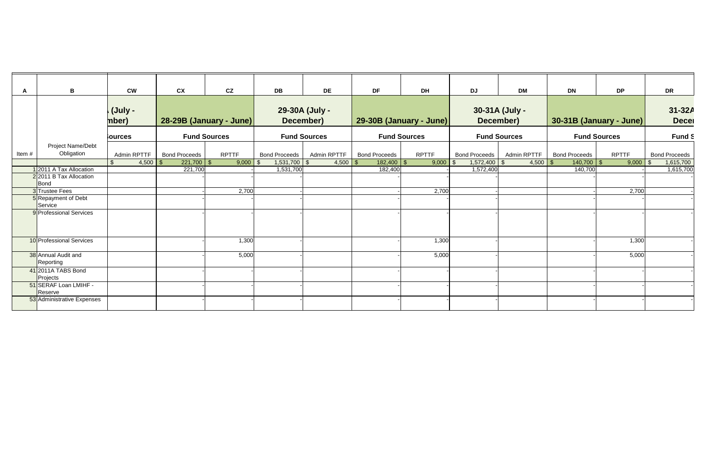| A     | $\mathbf B$                                               | <b>CW</b>               | cx                      | CZ           | DB                    | <b>DE</b>                   | <b>DF</b>            | <b>DH</b>               | <b>DJ</b>            | <b>DM</b>                   | DN                   | <b>DP</b>               | <b>DR</b>              |
|-------|-----------------------------------------------------------|-------------------------|-------------------------|--------------|-----------------------|-----------------------------|----------------------|-------------------------|----------------------|-----------------------------|----------------------|-------------------------|------------------------|
|       |                                                           | <b>(July -</b><br>mber) | 28-29B (January - June) |              |                       | 29-30A (July -<br>December) |                      | 29-30B (January - June) |                      | 30-31A (July -<br>December) |                      | 30-31B (January - June) | 31-32A<br><b>Decer</b> |
|       |                                                           | <b>Sources</b>          | <b>Fund Sources</b>     |              |                       | <b>Fund Sources</b>         |                      | <b>Fund Sources</b>     |                      | <b>Fund Sources</b>         |                      | <b>Fund Sources</b>     | <b>Fund S</b>          |
| Item# | Project Name/Debt<br>Obligation                           | Admin RPTTF             | <b>Bond Proceeds</b>    | <b>RPTTF</b> | <b>Bond Proceeds</b>  | Admin RPTTF                 | <b>Bond Proceeds</b> | <b>RPTTF</b>            | <b>Bond Proceeds</b> | <b>Admin RPTTF</b>          | <b>Bond Proceeds</b> | <b>RPTTF</b>            | <b>Bond Proceeds</b>   |
|       |                                                           | $4,500$ \$              | $221,700$ \$            | 9,000        | $1,531,700$ \$<br>-\$ | $4,500$ \$                  | 182,400              | $9,000$ \$              | 1,572,400            | $4,500$ \$<br>\$            | $140,700$   \$       | 9,000                   | 1,615,700              |
|       | 12011 A Tax Allocation<br>2 2011 B Tax Allocation<br>Bond |                         | 221,700                 |              | 1,531,700             |                             | 182,400              |                         | 1,572,400            |                             | 140,700              |                         | 1,615,700              |
|       | 3 Trustee Fees                                            |                         |                         | 2,700        |                       |                             |                      | 2,700                   |                      |                             |                      | 2,700                   |                        |
|       | 5 Repayment of Debt<br>Service                            |                         |                         |              |                       |                             |                      |                         |                      |                             |                      |                         |                        |
|       | 9 Professional Services                                   |                         |                         |              |                       |                             |                      |                         |                      |                             |                      |                         |                        |
|       | 10 Professional Services                                  |                         |                         | 1,300        |                       |                             |                      | 1,300                   |                      |                             |                      | 1,300                   |                        |
|       | 38 Annual Audit and<br>Reporting                          |                         |                         | 5,000        |                       |                             |                      | 5,000                   |                      |                             |                      | 5,000                   |                        |
|       | 41 2011A TABS Bond<br>Projects                            |                         |                         |              |                       |                             |                      |                         |                      |                             |                      |                         |                        |
|       | 51 SERAF Loan LMIHF -<br>Reserve                          |                         |                         |              |                       |                             |                      |                         |                      |                             |                      |                         |                        |
|       | 53 Administrative Expenses                                |                         |                         |              |                       |                             |                      |                         |                      |                             |                      |                         |                        |